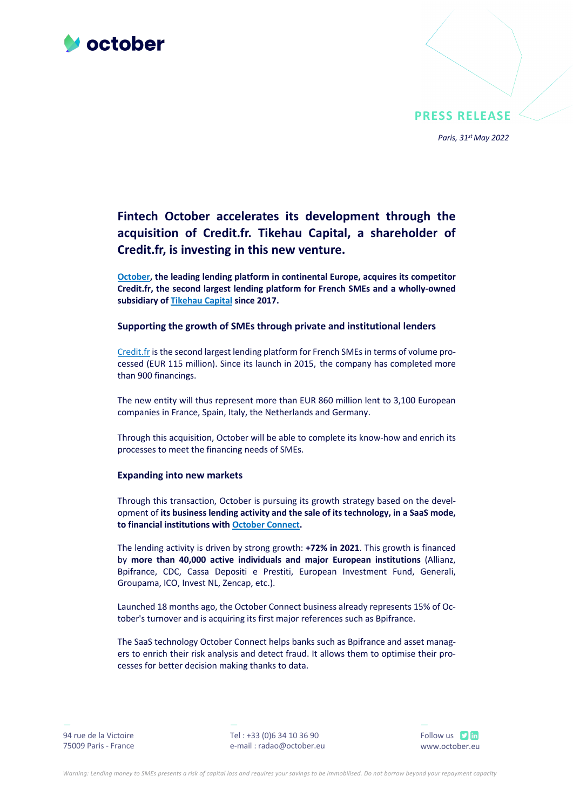

## **PRESS RELEASE**

*Paris, 31st May 2022*

# **Fintech October accelerates its development through the acquisition of Credit.fr. Tikehau Capital, a shareholder of Credit.fr, is investing in this new venture.**

**October, the leading lending platform in continental Europe, acquires its competitor Credit.fr, the second largest lending platform for French SMEs and a wholly-owned subsidiary of Tikehau Capital since 2017.**

### **Supporting the growth of SMEs through private and institutional lenders**

Credit.fr is the second largest lending platform for French SMEs in terms of volume processed (EUR 115 million). Since its launch in 2015, the company has completed more than 900 financings.

The new entity will thus represent more than EUR 860 million lent to 3,100 European companies in France, Spain, Italy, the Netherlands and Germany.

Through this acquisition, October will be able to complete its know-how and enrich its processes to meet the financing needs of SMEs.

#### **Expanding into new markets**

Through this transaction, October is pursuing its growth strategy based on the development of **its business lending activity and the sale of its technology, in a SaaS mode, to financial institutions with October Connect.**

The lending activity is driven by strong growth: **+72% in 2021**. This growth is financed by **more than 40,000 active individuals and major European institutions** (Allianz, Bpifrance, CDC, Cassa Depositi e Prestiti, European Investment Fund, Generali, Groupama, ICO, Invest NL, Zencap, etc.).

Launched 18 months ago, the October Connect business already represents 15% of October's turnover and is acquiring its first major references such as Bpifrance.

The SaaS technology October Connect helps banks such as Bpifrance and asset managers to enrich their risk analysis and detect fraud. It allows them to optimise their processes for better decision making thanks to data.

— 94 rue de la Victoire 75009 Paris - France

Tel : +33 (0)6 34 10 36 90 e-mail : radao@october.eu

—